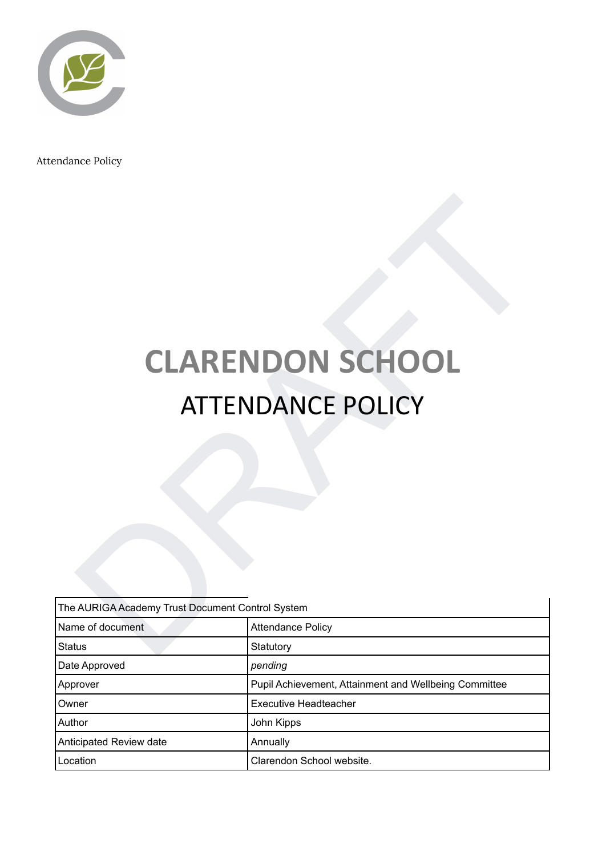

Attendance Policy

# **CLARENDON SCHOOL** ATTENDANCE POLICY

|                                                  | <b>CLARENDON SCHOOL</b>                               |  |
|--------------------------------------------------|-------------------------------------------------------|--|
|                                                  |                                                       |  |
|                                                  | <b>ATTENDANCE POLICY</b>                              |  |
|                                                  |                                                       |  |
|                                                  |                                                       |  |
|                                                  |                                                       |  |
|                                                  |                                                       |  |
|                                                  |                                                       |  |
|                                                  |                                                       |  |
|                                                  |                                                       |  |
|                                                  |                                                       |  |
|                                                  |                                                       |  |
|                                                  |                                                       |  |
|                                                  |                                                       |  |
| The AURIGA Academy Trust Document Control System |                                                       |  |
| Name of document                                 | <b>Attendance Policy</b>                              |  |
| Status                                           | Statutory                                             |  |
| Date Approved                                    | pending                                               |  |
| Approver                                         | Pupil Achievement, Attainment and Wellbeing Committee |  |
| Owner                                            | <b>Executive Headteacher</b>                          |  |
| Author                                           | John Kipps                                            |  |
| Anticipated Review date                          | Annually                                              |  |
| Location                                         | Clarendon School website.                             |  |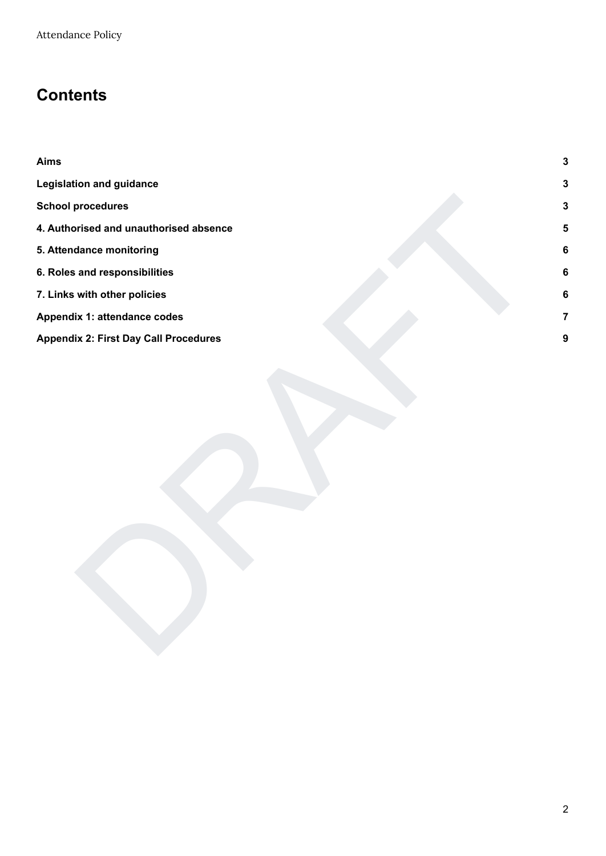## **Contents**

| <b>Aims</b>                                  | $\mathbf{3}$            |
|----------------------------------------------|-------------------------|
| <b>Legislation and guidance</b>              | $\mathbf{3}$            |
| <b>School procedures</b>                     | $\mathbf 3$             |
| 4. Authorised and unauthorised absence       | $\overline{\mathbf{5}}$ |
| 5. Attendance monitoring                     | $6\phantom{a}$          |
| 6. Roles and responsibilities                | $\bf 6$                 |
| 7. Links with other policies                 | 6                       |
| Appendix 1: attendance codes                 | $\overline{7}$          |
| <b>Appendix 2: First Day Call Procedures</b> | $\boldsymbol{9}$        |
|                                              |                         |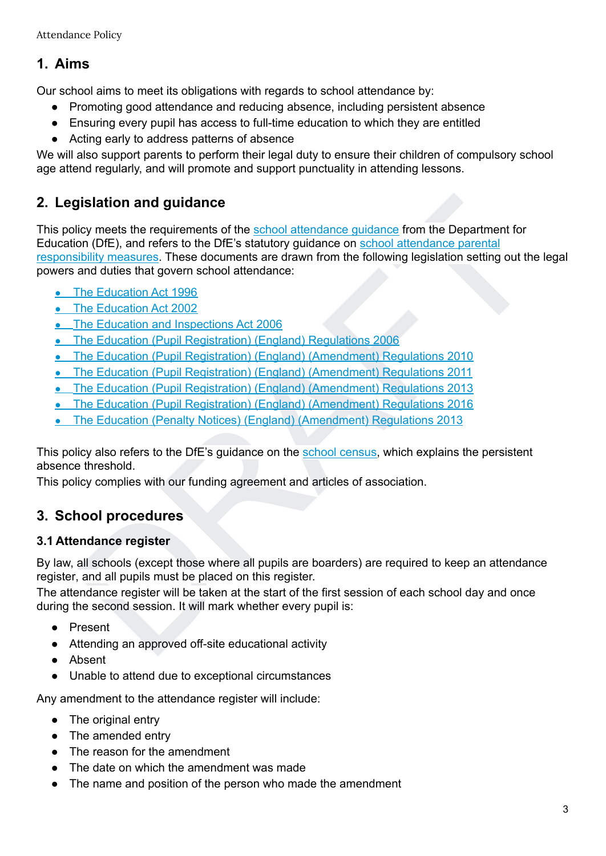## **1. Aims**

Our school aims to meet its obligations with regards to school attendance by:

- Promoting good attendance and reducing absence, including persistent absence
- Ensuring every pupil has access to full-time education to which they are entitled
- Acting early to address patterns of absence

We will also support parents to perform their legal duty to ensure their children of compulsory school age attend regularly, and will promote and support punctuality in attending lessons.

## **2. Legislation and guidance**

**gislation and guidance**<br>
blicy meets the requirements of the <u>school attendance quidance</u> from the Department for<br>
blow (DE), and refers to the DF's statutory guidance on school attendance parential<br>
blow measures. These This policy meets the requirements of the school attendance guidance from the Department for Education (DfE), and refers to the DfE's statutory guidance on school attendance parental responsibility measures. These documents are drawn from the following legislation setting out the legal powers and duties that govern school attendance:

- The Education Act 1996
- The Education Act 2002
- **•** The Education and Inspections Act 2006
- The Education (Pupil Registration) (England) Regulations 2006
- The Education (Pupil Registration) (England) (Amendment) Regulations 2010
- The Education (Pupil Registration) (England) (Amendment) Regulations 2011
- The Education (Pupil Registration) (England) (Amendment) Regulations 2013
- The Education (Pupil Registration) (England) (Amendment) Regulations 2016
- The Education (Penalty Notices) (England) (Amendment) Regulations 2013

This policy also refers to the DfE's guidance on the school census, which explains the persistent absence threshold.

This policy complies with our funding agreement and articles of association.

## **3. School procedures**

#### **3.1 Attendance register**

By law, all schools (except those where all pupils are boarders) are required to keep an attendance register, and all pupils must be placed on this register.

The attendance register will be taken at the start of the first session of each school day and once during the second session. It will mark whether every pupil is:

- Present
- Attending an approved off-site educational activity
- Absent
- Unable to attend due to exceptional circumstances

Any amendment to the attendance register will include:

- The original entry
- The amended entry
- The reason for the amendment
- The date on which the amendment was made
- The name and position of the person who made the amendment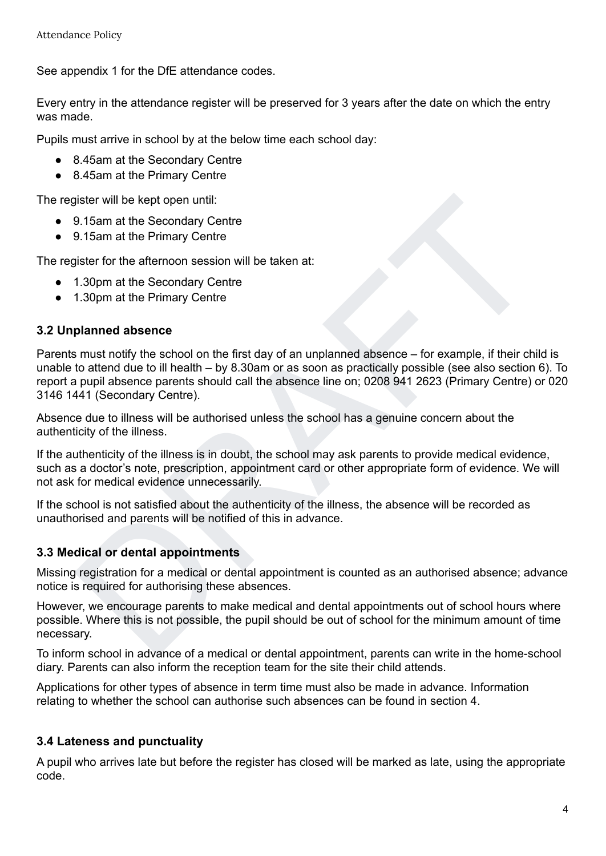See appendix 1 for the DfE attendance codes.

Every entry in the attendance register will be preserved for 3 years after the date on which the entry was made.

Pupils must arrive in school by at the below time each school day:

- 8.45am at the Secondary Centre
- 8.45am at the Primary Centre

The register will be kept open until:

- 9.15am at the Secondary Centre
- 9.15am at the Primary Centre

The register for the afternoon session will be taken at:

- 1.30pm at the Secondary Centre
- 1.30pm at the Primary Centre

#### **3.2 Unplanned absence**

gister will be kept open until:<br>9.15am at the Secondary Centre<br>9.15am at the Primary Centre<br>1.30pm at the Primary Centre<br>1.30pm at the Primary Centre<br>1.30pm at the Primary Centre<br>1.30pm at the Primary Centre<br>1.30pm at the Parents must notify the school on the first day of an unplanned absence – for example, if their child is unable to attend due to ill health – by 8.30am or as soon as practically possible (see also section 6). To report a pupil absence parents should call the absence line on; 0208 941 2623 (Primary Centre) or 020 3146 1441 (Secondary Centre).

Absence due to illness will be authorised unless the school has a genuine concern about the authenticity of the illness.

If the authenticity of the illness is in doubt, the school may ask parents to provide medical evidence, such as a doctor's note, prescription, appointment card or other appropriate form of evidence. We will not ask for medical evidence unnecessarily.

If the school is not satisfied about the authenticity of the illness, the absence will be recorded as unauthorised and parents will be notified of this in advance.

#### **3.3 Medical or dental appointments**

Missing registration for a medical or dental appointment is counted as an authorised absence; advance notice is required for authorising these absences.

However, we encourage parents to make medical and dental appointments out of school hours where possible. Where this is not possible, the pupil should be out of school for the minimum amount of time necessary.

To inform school in advance of a medical or dental appointment, parents can write in the home-school diary. Parents can also inform the reception team for the site their child attends.

Applications for other types of absence in term time must also be made in advance. Information relating to whether the school can authorise such absences can be found in section 4.

#### **3.4 Lateness and punctuality**

A pupil who arrives late but before the register has closed will be marked as late, using the appropriate code.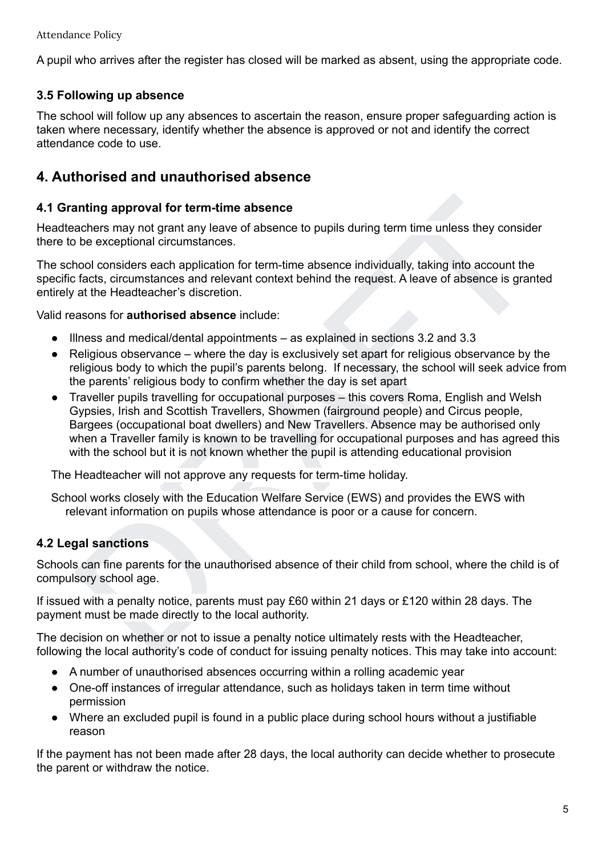A pupil who arrives after the register has closed will be marked as absent, using the appropriate code.

#### **3.5 Following up absence**

The school will follow up any absences to ascertain the reason, ensure proper safeguarding action is taken where necessary, identify whether the absence is approved or not and identify the correct attendance code to use.

## **4. Authorised and unauthorised absence**

#### **4.1 Granting approval for term-time absence**

Headteachers may not grant any leave of absence to pupils during term time unless they consider there to be exceptional circumstances.

The school considers each application for term-time absence individually, taking into account the specific facts, circumstances and relevant context behind the request. A leave of absence is granted entirely at the Headteacher's discretion.

Valid reasons for **authorised absence** include:

- Illness and medical/dental appointments as explained in sections 3.2 and 3.3
- Religious observance where the day is exclusively set apart for religious observance by the religious body to which the pupil's parents belong. If necessary, the school will seek advice from the parents' religious body to confirm whether the day is set apart
- anting approval for term-time absence<br>eachers may not grant any leave of absence to pupils during term time unless they consider<br>be exceptional circumstances.<br>Too considers each application for term-time absence individual *●* Traveller pupils travelling for occupational purposes – this covers Roma, English and Welsh Gypsies, Irish and Scottish Travellers, Showmen (fairground people) and Circus people, Bargees (occupational boat dwellers) and New Travellers. Absence may be authorised only when a Traveller family is known to be travelling for occupational purposes and has agreed this with the school but it is not known whether the pupil is attending educational provision

The Headteacher will not approve any requests for term-time holiday.

School works closely with the Education Welfare Service (EWS) and provides the EWS with relevant information on pupils whose attendance is poor or a cause for concern.

#### **4.2 Legal sanctions**

Schools can fine parents for the unauthorised absence of their child from school, where the child is of compulsory school age.

If issued with a penalty notice, parents must pay £60 within 21 days or £120 within 28 days. The payment must be made directly to the local authority.

The decision on whether or not to issue a penalty notice ultimately rests with the Headteacher, following the local authority's code of conduct for issuing penalty notices. This may take into account:

- A number of unauthorised absences occurring within a rolling academic year
- One-off instances of irregular attendance, such as holidays taken in term time without permission
- Where an excluded pupil is found in a public place during school hours without a justifiable reason

If the payment has not been made after 28 days, the local authority can decide whether to prosecute the parent or withdraw the notice.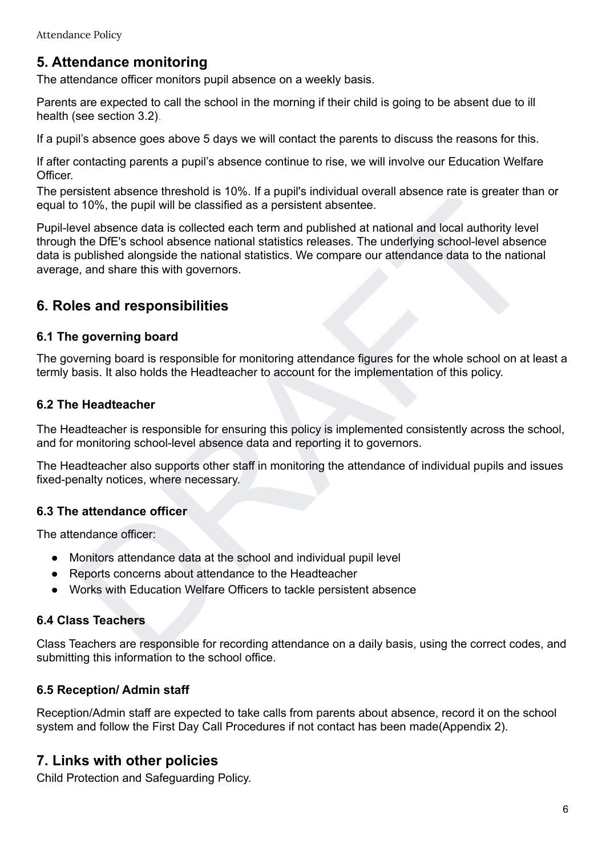## **5. Attendance monitoring**

The attendance officer monitors pupil absence on a weekly basis.

Parents are expected to call the school in the morning if their child is going to be absent due to ill health (see section 3.2).

If a pupil's absence goes above 5 days we will contact the parents to discuss the reasons for this.

If after contacting parents a pupil's absence continue to rise, we will involve our Education Welfare Officer.

The persistent absence threshold is 10%. If a pupil's individual overall absence rate is greater than or equal to 10%, the pupil will be classified as a persistent absentee.

islanding to the public of the public of the state of the Happin since and absence and solence are is greater unit of the public bulk of the state of the public and the public of the public of the public of the published a Pupil-level absence data is collected each term and published at national and local authority level through the DfE's school absence national statistics releases. The underlying school-level absence data is published alongside the national statistics. We compare our attendance data to the national average, and share this with governors.

## **6. Roles and responsibilities**

#### **6.1 The governing board**

The governing board is responsible for monitoring attendance figures for the whole school on at least a termly basis. It also holds the Headteacher to account for the implementation of this policy.

#### **6.2 The Headteacher**

The Headteacher is responsible for ensuring this policy is implemented consistently across the school, and for monitoring school-level absence data and reporting it to governors.

The Headteacher also supports other staff in monitoring the attendance of individual pupils and issues fixed-penalty notices, where necessary.

#### **6.3 The attendance officer**

The attendance officer:

- Monitors attendance data at the school and individual pupil level
- Reports concerns about attendance to the Headteacher
- Works with Education Welfare Officers to tackle persistent absence

#### **6.4 Class Teachers**

Class Teachers are responsible for recording attendance on a daily basis, using the correct codes, and submitting this information to the school office.

#### **6.5 Reception/ Admin staff**

Reception/Admin staff are expected to take calls from parents about absence, record it on the school system and follow the First Day Call Procedures if not contact has been made(Appendix 2).

## **7. Links with other policies**

Child Protection and Safeguarding Policy.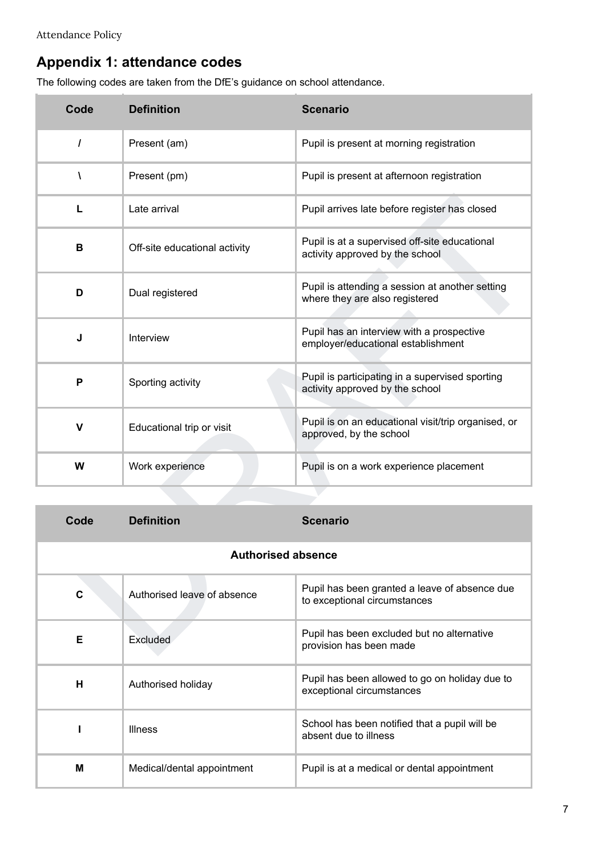## **Appendix 1: attendance codes**

The following codes are taken from the DfE's guidance on school attendance.

| Code                      | <b>Definition</b>             | <b>Scenario</b>                                                                    |  |  |
|---------------------------|-------------------------------|------------------------------------------------------------------------------------|--|--|
| $\prime$                  | Present (am)                  | Pupil is present at morning registration                                           |  |  |
| $\lambda$                 | Present (pm)                  | Pupil is present at afternoon registration                                         |  |  |
| L                         | Late arrival                  | Pupil arrives late before register has closed                                      |  |  |
| B                         | Off-site educational activity | Pupil is at a supervised off-site educational<br>activity approved by the school   |  |  |
| D                         | Dual registered               | Pupil is attending a session at another setting<br>where they are also registered  |  |  |
| J                         | Interview                     | Pupil has an interview with a prospective<br>employer/educational establishment    |  |  |
| P                         | Sporting activity             | Pupil is participating in a supervised sporting<br>activity approved by the school |  |  |
| V                         | Educational trip or visit     | Pupil is on an educational visit/trip organised, or<br>approved, by the school     |  |  |
| W                         | Work experience               | Pupil is on a work experience placement                                            |  |  |
|                           |                               |                                                                                    |  |  |
| Code                      | <b>Definition</b>             | <b>Scenario</b>                                                                    |  |  |
| <b>Authorised absence</b> |                               |                                                                                    |  |  |
| $\mathbf c$               | Authorised leave of absence   | Pupil has been granted a leave of absence due<br>to exceptional circumstances      |  |  |
| Е                         | Excluded                      | Pupil has been excluded but no alternative<br>provision has been made              |  |  |

| Code                      | <b>Definition</b>           | <b>Scenario</b>                                                               |  |  |
|---------------------------|-----------------------------|-------------------------------------------------------------------------------|--|--|
| <b>Authorised absence</b> |                             |                                                                               |  |  |
| C                         | Authorised leave of absence | Pupil has been granted a leave of absence due<br>to exceptional circumstances |  |  |
| Е                         | <b>Excluded</b>             | Pupil has been excluded but no alternative<br>provision has been made         |  |  |
| н                         | Authorised holiday          | Pupil has been allowed to go on holiday due to<br>exceptional circumstances   |  |  |
|                           | <b>Illness</b>              | School has been notified that a pupil will be<br>absent due to illness        |  |  |
| M                         | Medical/dental appointment  | Pupil is at a medical or dental appointment                                   |  |  |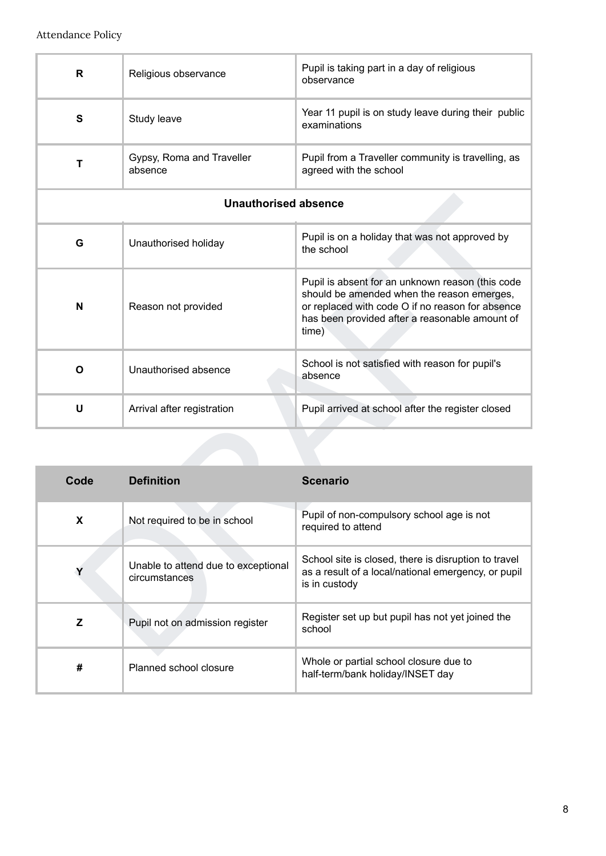| R                           | Religious observance                                 | Pupil is taking part in a day of religious<br>observance                                                                                                                                                      |  |  |
|-----------------------------|------------------------------------------------------|---------------------------------------------------------------------------------------------------------------------------------------------------------------------------------------------------------------|--|--|
| S                           | Study leave                                          | Year 11 pupil is on study leave during their public<br>examinations                                                                                                                                           |  |  |
| $\mathbf T$                 | Gypsy, Roma and Traveller<br>absence                 | Pupil from a Traveller community is travelling, as<br>agreed with the school                                                                                                                                  |  |  |
| <b>Unauthorised absence</b> |                                                      |                                                                                                                                                                                                               |  |  |
| G                           | Unauthorised holiday                                 | Pupil is on a holiday that was not approved by<br>the school                                                                                                                                                  |  |  |
| N                           | Reason not provided                                  | Pupil is absent for an unknown reason (this code<br>should be amended when the reason emerges,<br>or replaced with code O if no reason for absence<br>has been provided after a reasonable amount of<br>time) |  |  |
| O                           | Unauthorised absence                                 | School is not satisfied with reason for pupil's<br>absence                                                                                                                                                    |  |  |
|                             | Arrival after registration                           | Pupil arrived at school after the register closed                                                                                                                                                             |  |  |
| $\mathsf{U}$                |                                                      |                                                                                                                                                                                                               |  |  |
|                             |                                                      |                                                                                                                                                                                                               |  |  |
| Code                        | <b>Definition</b>                                    | <b>Scenario</b>                                                                                                                                                                                               |  |  |
| X                           | Not required to be in school                         | Pupil of non-compulsory school age is not<br>required to attend                                                                                                                                               |  |  |
| Υ                           | Unable to attend due to exceptional<br>circumstances | School site is closed, there is disruption to travel<br>as a result of a local/national emergency, or pupil<br>is in custody                                                                                  |  |  |
| Z                           | Pupil not on admission register                      | Register set up but pupil has not yet joined the<br>school                                                                                                                                                    |  |  |

| Code | <b>Definition</b>                                    | <b>Scenario</b>                                                                                                              |
|------|------------------------------------------------------|------------------------------------------------------------------------------------------------------------------------------|
| X    | Not required to be in school                         | Pupil of non-compulsory school age is not<br>required to attend                                                              |
|      | Unable to attend due to exceptional<br>circumstances | School site is closed, there is disruption to travel<br>as a result of a local/national emergency, or pupil<br>is in custody |
| Z    | Pupil not on admission register                      | Register set up but pupil has not yet joined the<br>school                                                                   |
| #    | Planned school closure                               | Whole or partial school closure due to<br>half-term/bank holiday/INSET day                                                   |